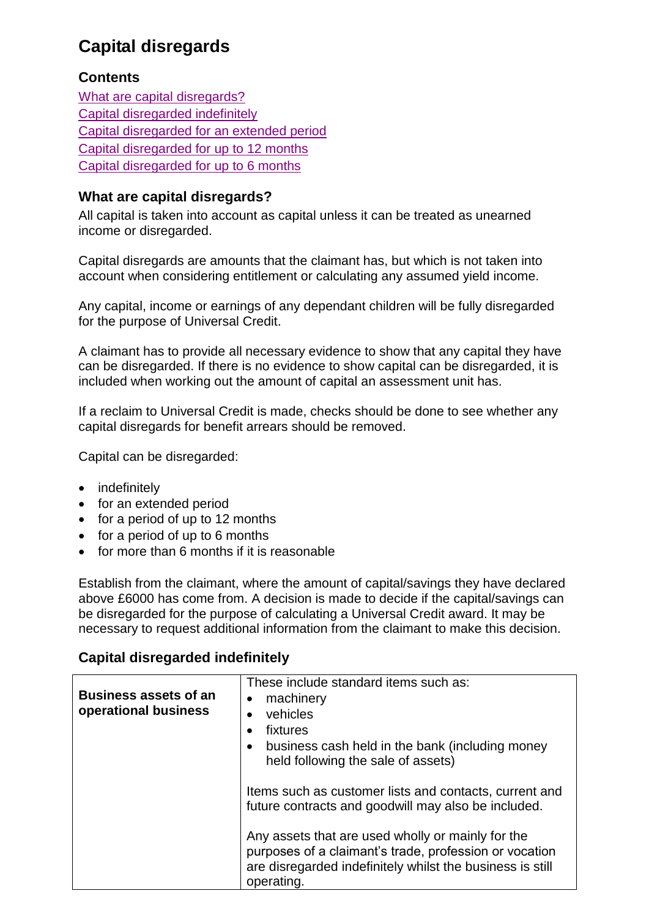# **Capital disregards**

#### <span id="page-0-2"></span>**Contents**

[What are capital disregards?](#page-0-0) [Capital disregarded indefinitely](#page-0-1) [Capital disregarded for an extended period](#page-5-0) [Capital disregarded for up to 12 months](#page-6-0) [Capital disregarded for up to 6 months](#page-7-0)

#### <span id="page-0-0"></span>**What are capital disregards?**

All capital is taken into account as capital unless it can be treated as unearned income or disregarded.

Capital disregards are amounts that the claimant has, but which is not taken into account when considering entitlement or calculating any assumed yield income.

Any capital, income or earnings of any dependant children will be fully disregarded for the purpose of Universal Credit.

A claimant has to provide all necessary evidence to show that any capital they have can be disregarded. If there is no evidence to show capital can be disregarded, it is included when working out the amount of capital an assessment unit has.

If a reclaim to Universal Credit is made, checks should be done to see whether any capital disregards for benefit arrears should be removed.

Capital can be disregarded:

- indefinitely
- for an extended period
- for a period of up to 12 months
- $\bullet$  for a period of up to 6 months
- for more than 6 months if it is reasonable

Establish from the claimant, where the amount of capital/savings they have declared above £6000 has come from. A decision is made to decide if the capital/savings can be disregarded for the purpose of calculating a Universal Credit award. It may be necessary to request additional information from the claimant to make this decision.

### <span id="page-0-1"></span>**Capital disregarded indefinitely**

| <b>Business assets of an</b><br>operational business | These include standard items such as:<br>machinery<br>vehicles<br>fixtures<br>$\bullet$<br>business cash held in the bank (including money<br>٠<br>held following the sale of assets) |
|------------------------------------------------------|---------------------------------------------------------------------------------------------------------------------------------------------------------------------------------------|
|                                                      | Items such as customer lists and contacts, current and<br>future contracts and goodwill may also be included.<br>Any assets that are used wholly or mainly for the                    |
|                                                      | purposes of a claimant's trade, profession or vocation<br>are disregarded indefinitely whilst the business is still<br>operating.                                                     |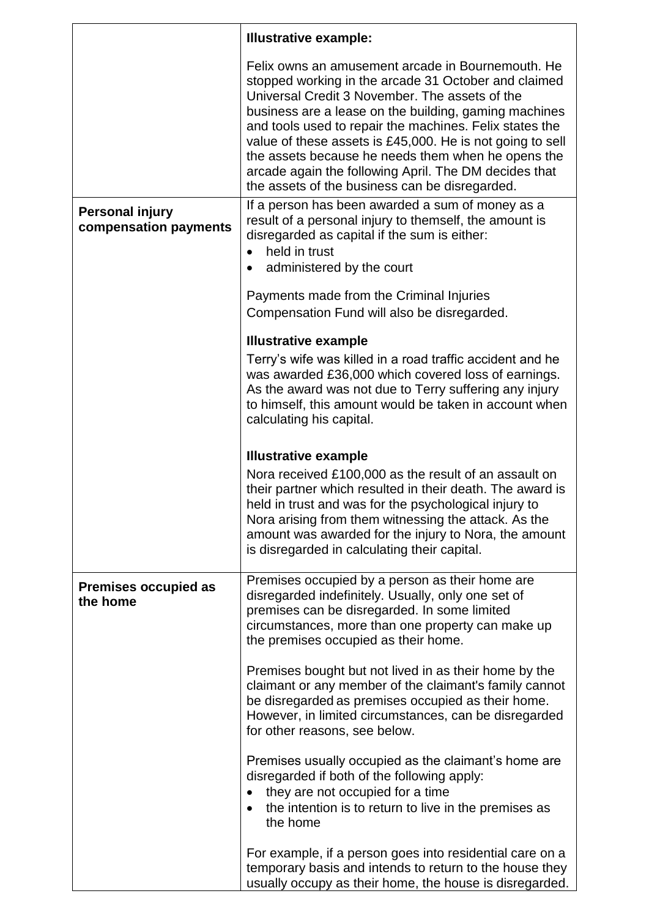|                                                 | <b>Illustrative example:</b>                                                                                                                                                                                                                                                                                                                                                                                                                                                                                  |
|-------------------------------------------------|---------------------------------------------------------------------------------------------------------------------------------------------------------------------------------------------------------------------------------------------------------------------------------------------------------------------------------------------------------------------------------------------------------------------------------------------------------------------------------------------------------------|
|                                                 | Felix owns an amusement arcade in Bournemouth. He<br>stopped working in the arcade 31 October and claimed<br>Universal Credit 3 November. The assets of the<br>business are a lease on the building, gaming machines<br>and tools used to repair the machines. Felix states the<br>value of these assets is £45,000. He is not going to sell<br>the assets because he needs them when he opens the<br>arcade again the following April. The DM decides that<br>the assets of the business can be disregarded. |
| <b>Personal injury</b><br>compensation payments | If a person has been awarded a sum of money as a<br>result of a personal injury to themself, the amount is<br>disregarded as capital if the sum is either:<br>held in trust                                                                                                                                                                                                                                                                                                                                   |
|                                                 | administered by the court<br>$\bullet$                                                                                                                                                                                                                                                                                                                                                                                                                                                                        |
|                                                 | Payments made from the Criminal Injuries<br>Compensation Fund will also be disregarded.                                                                                                                                                                                                                                                                                                                                                                                                                       |
|                                                 | <b>Illustrative example</b>                                                                                                                                                                                                                                                                                                                                                                                                                                                                                   |
|                                                 | Terry's wife was killed in a road traffic accident and he<br>was awarded £36,000 which covered loss of earnings.<br>As the award was not due to Terry suffering any injury<br>to himself, this amount would be taken in account when<br>calculating his capital.                                                                                                                                                                                                                                              |
|                                                 | <b>Illustrative example</b>                                                                                                                                                                                                                                                                                                                                                                                                                                                                                   |
|                                                 | Nora received £100,000 as the result of an assault on<br>their partner which resulted in their death. The award is<br>held in trust and was for the psychological injury to<br>Nora arising from them witnessing the attack. As the<br>amount was awarded for the injury to Nora, the amount<br>is disregarded in calculating their capital.                                                                                                                                                                  |
| <b>Premises occupied as</b><br>the home         | Premises occupied by a person as their home are<br>disregarded indefinitely. Usually, only one set of<br>premises can be disregarded. In some limited<br>circumstances, more than one property can make up<br>the premises occupied as their home.                                                                                                                                                                                                                                                            |
|                                                 | Premises bought but not lived in as their home by the<br>claimant or any member of the claimant's family cannot<br>be disregarded as premises occupied as their home.<br>However, in limited circumstances, can be disregarded<br>for other reasons, see below.                                                                                                                                                                                                                                               |
|                                                 | Premises usually occupied as the claimant's home are<br>disregarded if both of the following apply:<br>they are not occupied for a time<br>$\bullet$<br>the intention is to return to live in the premises as<br>$\bullet$<br>the home                                                                                                                                                                                                                                                                        |
|                                                 | For example, if a person goes into residential care on a<br>temporary basis and intends to return to the house they<br>usually occupy as their home, the house is disregarded.                                                                                                                                                                                                                                                                                                                                |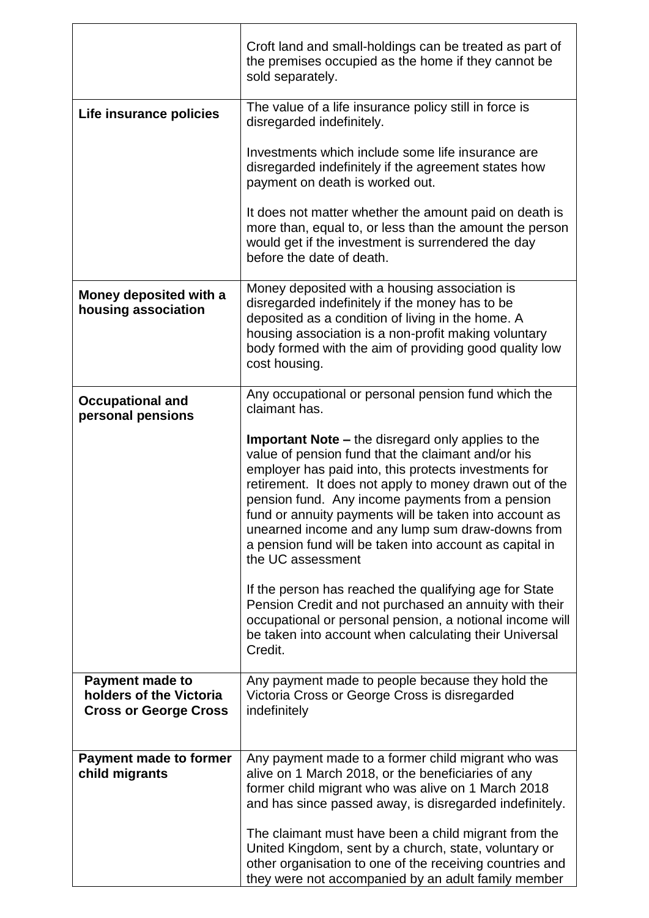|                                                                                   | Croft land and small-holdings can be treated as part of<br>the premises occupied as the home if they cannot be<br>sold separately.                                                                                                                                                                                                                                                                                                                                                    |
|-----------------------------------------------------------------------------------|---------------------------------------------------------------------------------------------------------------------------------------------------------------------------------------------------------------------------------------------------------------------------------------------------------------------------------------------------------------------------------------------------------------------------------------------------------------------------------------|
| Life insurance policies                                                           | The value of a life insurance policy still in force is<br>disregarded indefinitely.                                                                                                                                                                                                                                                                                                                                                                                                   |
|                                                                                   | Investments which include some life insurance are<br>disregarded indefinitely if the agreement states how<br>payment on death is worked out.                                                                                                                                                                                                                                                                                                                                          |
|                                                                                   | It does not matter whether the amount paid on death is<br>more than, equal to, or less than the amount the person<br>would get if the investment is surrendered the day<br>before the date of death.                                                                                                                                                                                                                                                                                  |
| Money deposited with a<br>housing association                                     | Money deposited with a housing association is<br>disregarded indefinitely if the money has to be<br>deposited as a condition of living in the home. A<br>housing association is a non-profit making voluntary<br>body formed with the aim of providing good quality low<br>cost housing.                                                                                                                                                                                              |
| <b>Occupational and</b><br>personal pensions                                      | Any occupational or personal pension fund which the<br>claimant has.                                                                                                                                                                                                                                                                                                                                                                                                                  |
|                                                                                   | <b>Important Note –</b> the disregard only applies to the<br>value of pension fund that the claimant and/or his<br>employer has paid into, this protects investments for<br>retirement. It does not apply to money drawn out of the<br>pension fund. Any income payments from a pension<br>fund or annuity payments will be taken into account as<br>unearned income and any lump sum draw-downs from<br>a pension fund will be taken into account as capital in<br>the UC assessment |
|                                                                                   | If the person has reached the qualifying age for State<br>Pension Credit and not purchased an annuity with their<br>occupational or personal pension, a notional income will<br>be taken into account when calculating their Universal<br>Credit.                                                                                                                                                                                                                                     |
| <b>Payment made to</b><br>holders of the Victoria<br><b>Cross or George Cross</b> | Any payment made to people because they hold the<br>Victoria Cross or George Cross is disregarded<br>indefinitely                                                                                                                                                                                                                                                                                                                                                                     |
| <b>Payment made to former</b><br>child migrants                                   | Any payment made to a former child migrant who was<br>alive on 1 March 2018, or the beneficiaries of any<br>former child migrant who was alive on 1 March 2018<br>and has since passed away, is disregarded indefinitely.                                                                                                                                                                                                                                                             |
|                                                                                   | The claimant must have been a child migrant from the<br>United Kingdom, sent by a church, state, voluntary or<br>other organisation to one of the receiving countries and<br>they were not accompanied by an adult family member                                                                                                                                                                                                                                                      |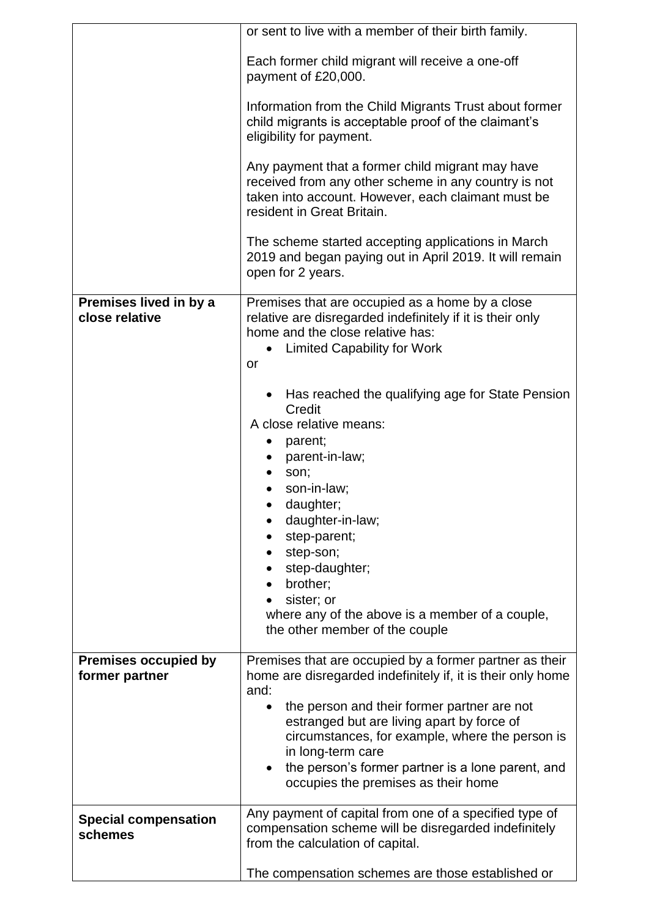|                                               | or sent to live with a member of their birth family.                                                                                                                                                                                                                                                                                                  |
|-----------------------------------------------|-------------------------------------------------------------------------------------------------------------------------------------------------------------------------------------------------------------------------------------------------------------------------------------------------------------------------------------------------------|
|                                               | Each former child migrant will receive a one-off<br>payment of £20,000.                                                                                                                                                                                                                                                                               |
|                                               | Information from the Child Migrants Trust about former<br>child migrants is acceptable proof of the claimant's<br>eligibility for payment.                                                                                                                                                                                                            |
|                                               | Any payment that a former child migrant may have<br>received from any other scheme in any country is not<br>taken into account. However, each claimant must be<br>resident in Great Britain.                                                                                                                                                          |
|                                               | The scheme started accepting applications in March<br>2019 and began paying out in April 2019. It will remain<br>open for 2 years.                                                                                                                                                                                                                    |
| Premises lived in by a<br>close relative      | Premises that are occupied as a home by a close<br>relative are disregarded indefinitely if it is their only<br>home and the close relative has:<br><b>Limited Capability for Work</b><br>or                                                                                                                                                          |
|                                               | Has reached the qualifying age for State Pension<br>Credit<br>A close relative means:<br>parent;<br>parent-in-law;<br>son;<br>son-in-law;<br>daughter;<br>daughter-in-law;<br>step-parent;<br>step-son;<br>step-daughter;<br>brother;<br>$\bullet$<br>sister; or<br>where any of the above is a member of a couple,<br>the other member of the couple |
| <b>Premises occupied by</b><br>former partner | Premises that are occupied by a former partner as their<br>home are disregarded indefinitely if, it is their only home<br>and:                                                                                                                                                                                                                        |
|                                               | the person and their former partner are not<br>estranged but are living apart by force of<br>circumstances, for example, where the person is<br>in long-term care<br>the person's former partner is a lone parent, and<br>occupies the premises as their home                                                                                         |
| <b>Special compensation</b><br>schemes        | Any payment of capital from one of a specified type of<br>compensation scheme will be disregarded indefinitely<br>from the calculation of capital.                                                                                                                                                                                                    |
|                                               | The compensation schemes are those established or                                                                                                                                                                                                                                                                                                     |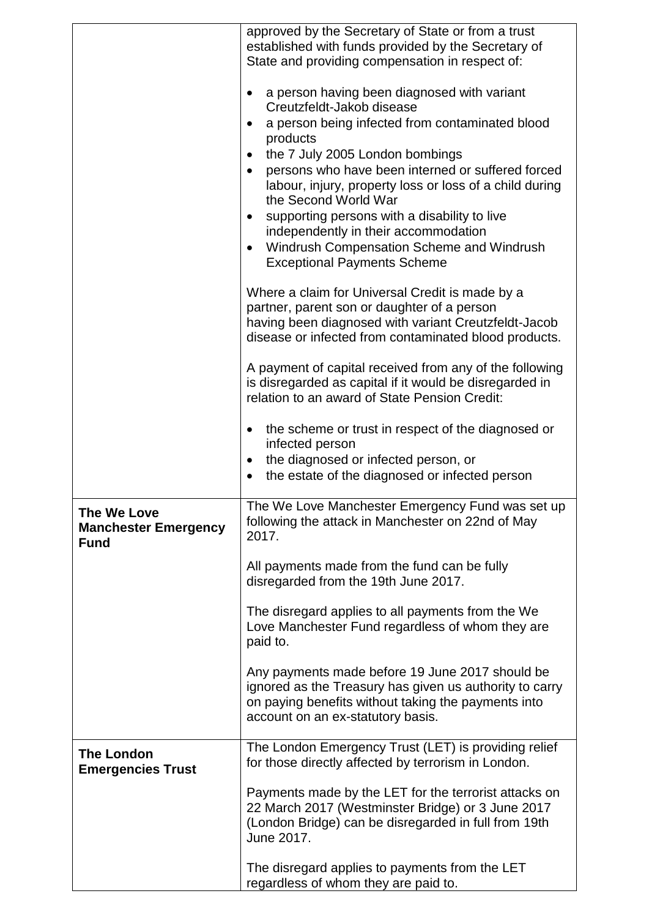|                                                           | approved by the Secretary of State or from a trust<br>established with funds provided by the Secretary of<br>State and providing compensation in respect of:                                                                                                                                                                                                                                                                                                                                                                                                                                                                                                                                                                                                                                                                                                                                                                                                          |
|-----------------------------------------------------------|-----------------------------------------------------------------------------------------------------------------------------------------------------------------------------------------------------------------------------------------------------------------------------------------------------------------------------------------------------------------------------------------------------------------------------------------------------------------------------------------------------------------------------------------------------------------------------------------------------------------------------------------------------------------------------------------------------------------------------------------------------------------------------------------------------------------------------------------------------------------------------------------------------------------------------------------------------------------------|
|                                                           | a person having been diagnosed with variant<br>$\bullet$<br>Creutzfeldt-Jakob disease<br>a person being infected from contaminated blood<br>$\bullet$<br>products<br>the 7 July 2005 London bombings<br>$\bullet$<br>persons who have been interned or suffered forced<br>$\bullet$<br>labour, injury, property loss or loss of a child during<br>the Second World War<br>supporting persons with a disability to live<br>$\bullet$<br>independently in their accommodation<br>Windrush Compensation Scheme and Windrush<br>$\bullet$<br><b>Exceptional Payments Scheme</b><br>Where a claim for Universal Credit is made by a<br>partner, parent son or daughter of a person<br>having been diagnosed with variant Creutzfeldt-Jacob<br>disease or infected from contaminated blood products.<br>A payment of capital received from any of the following<br>is disregarded as capital if it would be disregarded in<br>relation to an award of State Pension Credit: |
|                                                           | the scheme or trust in respect of the diagnosed or<br>$\bullet$<br>infected person<br>the diagnosed or infected person, or<br>$\bullet$<br>the estate of the diagnosed or infected person                                                                                                                                                                                                                                                                                                                                                                                                                                                                                                                                                                                                                                                                                                                                                                             |
| The We Love<br><b>Manchester Emergency</b><br><b>Fund</b> | The We Love Manchester Emergency Fund was set up<br>following the attack in Manchester on 22nd of May<br>2017.                                                                                                                                                                                                                                                                                                                                                                                                                                                                                                                                                                                                                                                                                                                                                                                                                                                        |
|                                                           | All payments made from the fund can be fully<br>disregarded from the 19th June 2017.                                                                                                                                                                                                                                                                                                                                                                                                                                                                                                                                                                                                                                                                                                                                                                                                                                                                                  |
|                                                           | The disregard applies to all payments from the We<br>Love Manchester Fund regardless of whom they are<br>paid to.                                                                                                                                                                                                                                                                                                                                                                                                                                                                                                                                                                                                                                                                                                                                                                                                                                                     |
|                                                           | Any payments made before 19 June 2017 should be<br>ignored as the Treasury has given us authority to carry<br>on paying benefits without taking the payments into<br>account on an ex-statutory basis.                                                                                                                                                                                                                                                                                                                                                                                                                                                                                                                                                                                                                                                                                                                                                                |
| <b>The London</b><br><b>Emergencies Trust</b>             | The London Emergency Trust (LET) is providing relief<br>for those directly affected by terrorism in London.                                                                                                                                                                                                                                                                                                                                                                                                                                                                                                                                                                                                                                                                                                                                                                                                                                                           |
|                                                           | Payments made by the LET for the terrorist attacks on<br>22 March 2017 (Westminster Bridge) or 3 June 2017<br>(London Bridge) can be disregarded in full from 19th<br>June 2017.                                                                                                                                                                                                                                                                                                                                                                                                                                                                                                                                                                                                                                                                                                                                                                                      |
|                                                           | The disregard applies to payments from the LET<br>regardless of whom they are paid to.                                                                                                                                                                                                                                                                                                                                                                                                                                                                                                                                                                                                                                                                                                                                                                                                                                                                                |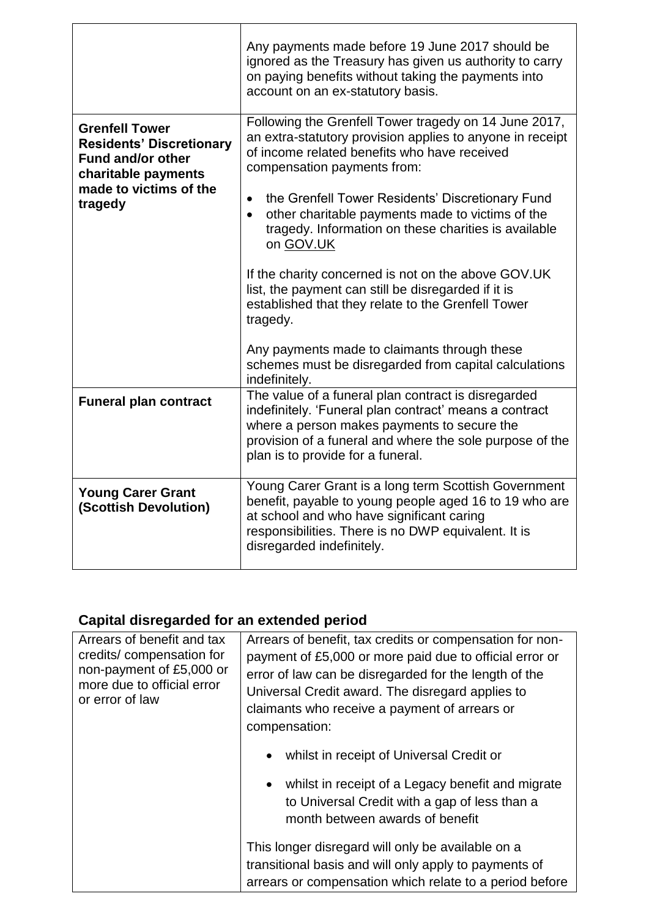|                                                                                                                                                  | Any payments made before 19 June 2017 should be<br>ignored as the Treasury has given us authority to carry<br>on paying benefits without taking the payments into<br>account on an ex-statutory basis.                                                        |
|--------------------------------------------------------------------------------------------------------------------------------------------------|---------------------------------------------------------------------------------------------------------------------------------------------------------------------------------------------------------------------------------------------------------------|
| <b>Grenfell Tower</b><br><b>Residents' Discretionary</b><br><b>Fund and/or other</b><br>charitable payments<br>made to victims of the<br>tragedy | Following the Grenfell Tower tragedy on 14 June 2017,<br>an extra-statutory provision applies to anyone in receipt<br>of income related benefits who have received<br>compensation payments from:                                                             |
|                                                                                                                                                  | the Grenfell Tower Residents' Discretionary Fund<br>$\bullet$<br>other charitable payments made to victims of the<br>$\bullet$<br>tragedy. Information on these charities is available<br>on GOV.UK                                                           |
|                                                                                                                                                  | If the charity concerned is not on the above GOV.UK<br>list, the payment can still be disregarded if it is<br>established that they relate to the Grenfell Tower<br>tragedy.                                                                                  |
|                                                                                                                                                  | Any payments made to claimants through these<br>schemes must be disregarded from capital calculations<br>indefinitely.                                                                                                                                        |
| <b>Funeral plan contract</b>                                                                                                                     | The value of a funeral plan contract is disregarded<br>indefinitely. 'Funeral plan contract' means a contract<br>where a person makes payments to secure the<br>provision of a funeral and where the sole purpose of the<br>plan is to provide for a funeral. |
| <b>Young Carer Grant</b><br>(Scottish Devolution)                                                                                                | Young Carer Grant is a long term Scottish Government<br>benefit, payable to young people aged 16 to 19 who are<br>at school and who have significant caring<br>responsibilities. There is no DWP equivalent. It is<br>disregarded indefinitely.               |

### <span id="page-5-0"></span>**Capital disregarded for an extended period**

| Arrears of benefit and tax<br>credits/compensation for<br>non-payment of £5,000 or<br>more due to official error<br>or error of law | Arrears of benefit, tax credits or compensation for non-<br>payment of £5,000 or more paid due to official error or<br>error of law can be disregarded for the length of the<br>Universal Credit award. The disregard applies to<br>claimants who receive a payment of arrears or<br>compensation:<br>whilst in receipt of Universal Credit or<br>$\bullet$<br>whilst in receipt of a Legacy benefit and migrate<br>$\bullet$<br>to Universal Credit with a gap of less than a<br>month between awards of benefit |
|-------------------------------------------------------------------------------------------------------------------------------------|-------------------------------------------------------------------------------------------------------------------------------------------------------------------------------------------------------------------------------------------------------------------------------------------------------------------------------------------------------------------------------------------------------------------------------------------------------------------------------------------------------------------|
|                                                                                                                                     | This longer disregard will only be available on a<br>transitional basis and will only apply to payments of<br>arrears or compensation which relate to a period before                                                                                                                                                                                                                                                                                                                                             |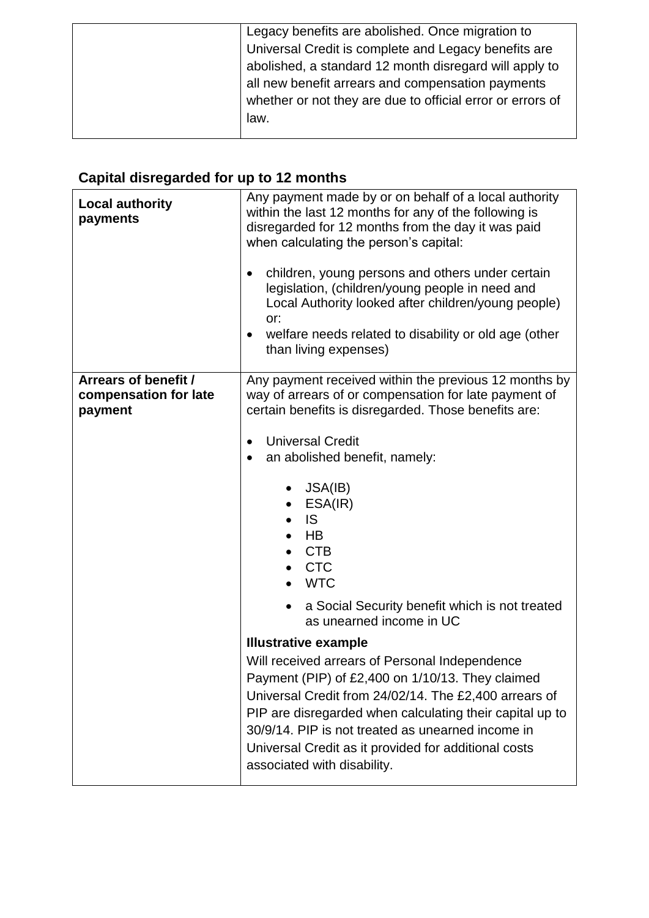| Legacy benefits are abolished. Once migration to           |
|------------------------------------------------------------|
| Universal Credit is complete and Legacy benefits are       |
| abolished, a standard 12 month disregard will apply to     |
| all new benefit arrears and compensation payments          |
| whether or not they are due to official error or errors of |
| law.                                                       |
|                                                            |

# <span id="page-6-0"></span>**Capital disregarded for up to 12 months**

| <b>Local authority</b><br>payments                       | Any payment made by or on behalf of a local authority<br>within the last 12 months for any of the following is<br>disregarded for 12 months from the day it was paid<br>when calculating the person's capital:<br>children, young persons and others under certain<br>٠<br>legislation, (children/young people in need and<br>Local Authority looked after children/young people)<br>or:<br>welfare needs related to disability or old age (other<br>$\bullet$<br>than living expenses) |
|----------------------------------------------------------|-----------------------------------------------------------------------------------------------------------------------------------------------------------------------------------------------------------------------------------------------------------------------------------------------------------------------------------------------------------------------------------------------------------------------------------------------------------------------------------------|
| Arrears of benefit /<br>compensation for late<br>payment | Any payment received within the previous 12 months by<br>way of arrears of or compensation for late payment of<br>certain benefits is disregarded. Those benefits are:                                                                                                                                                                                                                                                                                                                  |
|                                                          | <b>Universal Credit</b><br>$\bullet$<br>an abolished benefit, namely:                                                                                                                                                                                                                                                                                                                                                                                                                   |
|                                                          | $\bullet$ JSA(IB)<br>ESA(IR)<br><b>IS</b><br><b>HB</b><br><b>CTB</b><br><b>CTC</b><br><b>WTC</b>                                                                                                                                                                                                                                                                                                                                                                                        |
|                                                          | a Social Security benefit which is not treated<br>as unearned income in UC                                                                                                                                                                                                                                                                                                                                                                                                              |
|                                                          | <b>Illustrative example</b>                                                                                                                                                                                                                                                                                                                                                                                                                                                             |
|                                                          | Will received arrears of Personal Independence<br>Payment (PIP) of £2,400 on 1/10/13. They claimed<br>Universal Credit from 24/02/14. The £2,400 arrears of<br>PIP are disregarded when calculating their capital up to<br>30/9/14. PIP is not treated as unearned income in<br>Universal Credit as it provided for additional costs<br>associated with disability.                                                                                                                     |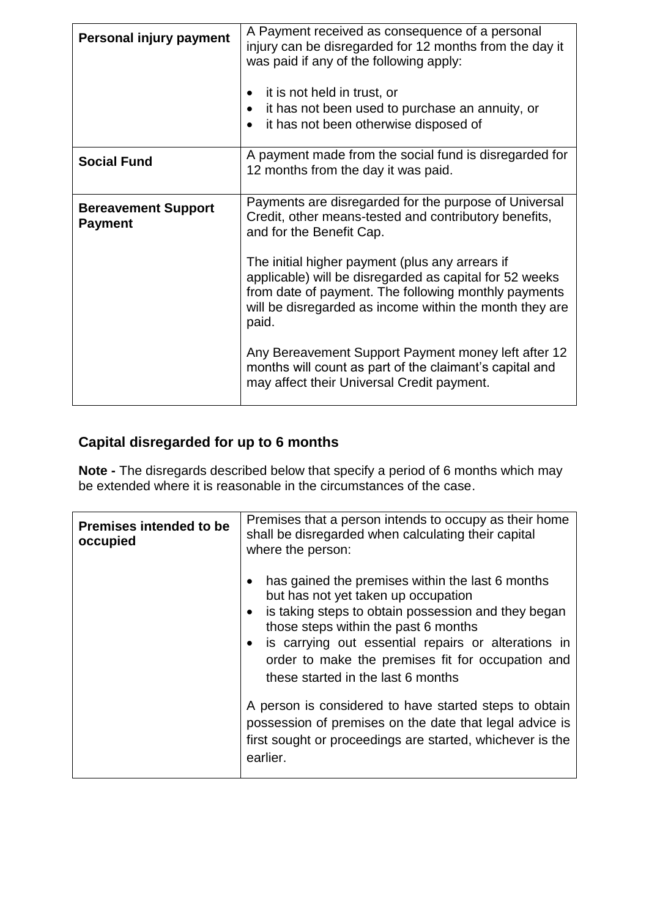| Personal injury payment                      | A Payment received as consequence of a personal<br>injury can be disregarded for 12 months from the day it<br>was paid if any of the following apply:<br>it is not held in trust, or<br>it has not been used to purchase an annuity, or<br>it has not been otherwise disposed of<br>$\bullet$ |
|----------------------------------------------|-----------------------------------------------------------------------------------------------------------------------------------------------------------------------------------------------------------------------------------------------------------------------------------------------|
| <b>Social Fund</b>                           | A payment made from the social fund is disregarded for<br>12 months from the day it was paid.                                                                                                                                                                                                 |
| <b>Bereavement Support</b><br><b>Payment</b> | Payments are disregarded for the purpose of Universal<br>Credit, other means-tested and contributory benefits,<br>and for the Benefit Cap.                                                                                                                                                    |
|                                              | The initial higher payment (plus any arrears if<br>applicable) will be disregarded as capital for 52 weeks<br>from date of payment. The following monthly payments<br>will be disregarded as income within the month they are<br>paid.                                                        |
|                                              | Any Bereavement Support Payment money left after 12<br>months will count as part of the claimant's capital and<br>may affect their Universal Credit payment.                                                                                                                                  |

## <span id="page-7-0"></span>**Capital disregarded for up to 6 months**

**Note -** The disregards described below that specify a period of 6 months which may be extended where it is reasonable in the circumstances of the case.

| <b>Premises intended to be</b><br>occupied | Premises that a person intends to occupy as their home<br>shall be disregarded when calculating their capital<br>where the person:                                                                                                                                                                                                       |
|--------------------------------------------|------------------------------------------------------------------------------------------------------------------------------------------------------------------------------------------------------------------------------------------------------------------------------------------------------------------------------------------|
|                                            | has gained the premises within the last 6 months<br>but has not yet taken up occupation<br>is taking steps to obtain possession and they began<br>those steps within the past 6 months<br>is carrying out essential repairs or alterations in<br>order to make the premises fit for occupation and<br>these started in the last 6 months |
|                                            | A person is considered to have started steps to obtain<br>possession of premises on the date that legal advice is<br>first sought or proceedings are started, whichever is the<br>earlier.                                                                                                                                               |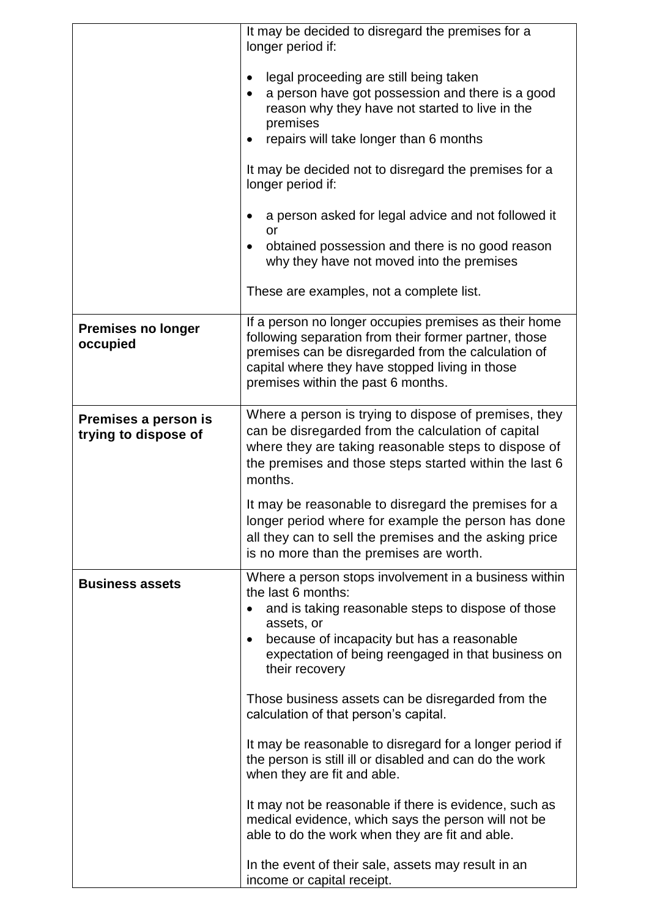|                                              | It may be decided to disregard the premises for a<br>longer period if:<br>legal proceeding are still being taken<br>$\bullet$<br>a person have got possession and there is a good<br>reason why they have not started to live in the<br>premises<br>repairs will take longer than 6 months<br>It may be decided not to disregard the premises for a<br>longer period if:<br>a person asked for legal advice and not followed it<br>or<br>obtained possession and there is no good reason<br>$\bullet$<br>why they have not moved into the premises |
|----------------------------------------------|----------------------------------------------------------------------------------------------------------------------------------------------------------------------------------------------------------------------------------------------------------------------------------------------------------------------------------------------------------------------------------------------------------------------------------------------------------------------------------------------------------------------------------------------------|
|                                              | These are examples, not a complete list.                                                                                                                                                                                                                                                                                                                                                                                                                                                                                                           |
| <b>Premises no longer</b><br>occupied        | If a person no longer occupies premises as their home<br>following separation from their former partner, those<br>premises can be disregarded from the calculation of<br>capital where they have stopped living in those<br>premises within the past 6 months.                                                                                                                                                                                                                                                                                     |
| Premises a person is<br>trying to dispose of | Where a person is trying to dispose of premises, they<br>can be disregarded from the calculation of capital<br>where they are taking reasonable steps to dispose of<br>the premises and those steps started within the last 6<br>months.                                                                                                                                                                                                                                                                                                           |
|                                              | It may be reasonable to disregard the premises for a<br>longer period where for example the person has done<br>all they can to sell the premises and the asking price<br>is no more than the premises are worth.                                                                                                                                                                                                                                                                                                                                   |
| <b>Business assets</b>                       | Where a person stops involvement in a business within<br>the last 6 months:<br>and is taking reasonable steps to dispose of those<br>assets, or<br>because of incapacity but has a reasonable<br>$\bullet$<br>expectation of being reengaged in that business on<br>their recovery                                                                                                                                                                                                                                                                 |
|                                              | Those business assets can be disregarded from the<br>calculation of that person's capital.                                                                                                                                                                                                                                                                                                                                                                                                                                                         |
|                                              | It may be reasonable to disregard for a longer period if<br>the person is still ill or disabled and can do the work<br>when they are fit and able.                                                                                                                                                                                                                                                                                                                                                                                                 |
|                                              | It may not be reasonable if there is evidence, such as<br>medical evidence, which says the person will not be<br>able to do the work when they are fit and able.                                                                                                                                                                                                                                                                                                                                                                                   |
|                                              | In the event of their sale, assets may result in an<br>income or capital receipt.                                                                                                                                                                                                                                                                                                                                                                                                                                                                  |